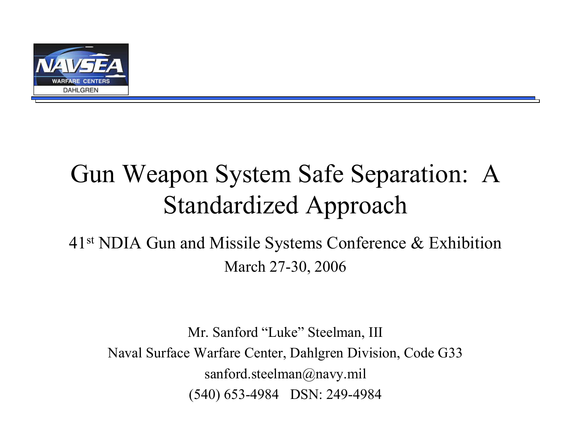

## Gun Weapon System Safe Separation: A Standardized Approach

#### 41st NDIA Gun and Missile Systems Conference & Exhibition March 27-30, 2006

Mr. Sanford "Luke" Steelman, III Naval Surface Warfare Center, Dahlgren Division, Code G33 sanford.steelman@navy.mil (540) 653-4984 DSN: 249-4984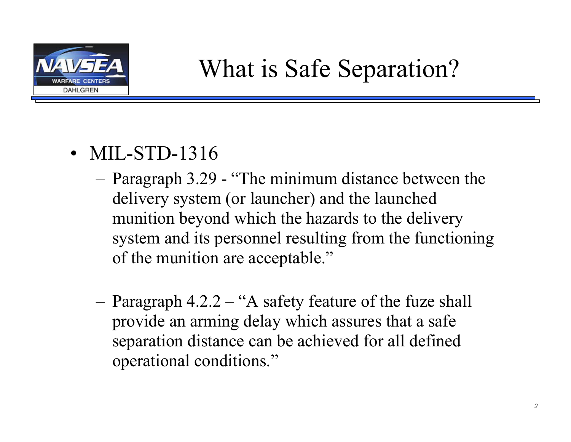

- MIL-STD-1316
	- Paragraph 3.29 "The minimum distance between the delivery system (or launcher) and the launched munition beyond which the hazards to the delivery system and its personnel resulting from the functioning of the munition are acceptable."
	- – Paragraph 4.2.2 – "A safety feature of the fuze shall provide an arming delay which assures that a safe separation distance can be achieved for all defined operational conditions."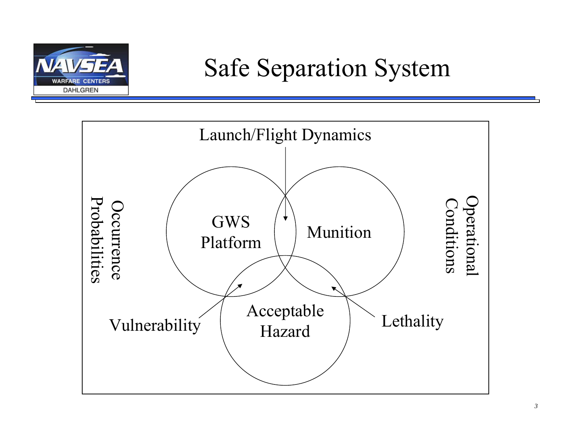

### Safe Separation System

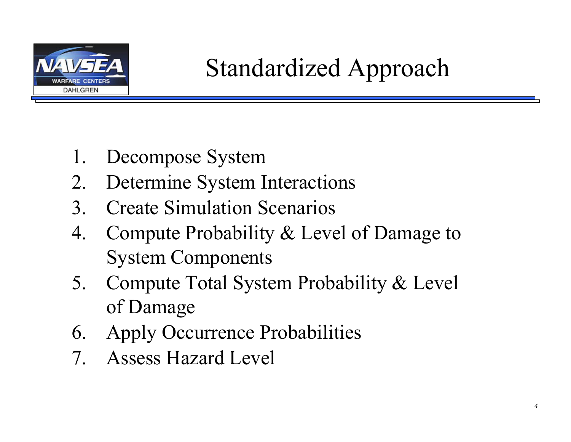

- 1. Decompose System
- 2. Determine System Interactions
- 3. Create Simulation Scenarios
- 4. Compute Probability & Level of Damage to System Components
- 5. Compute Total System Probability & Level of Damage
- 6. Apply Occurrence Probabilities
- 7. Assess Hazard Level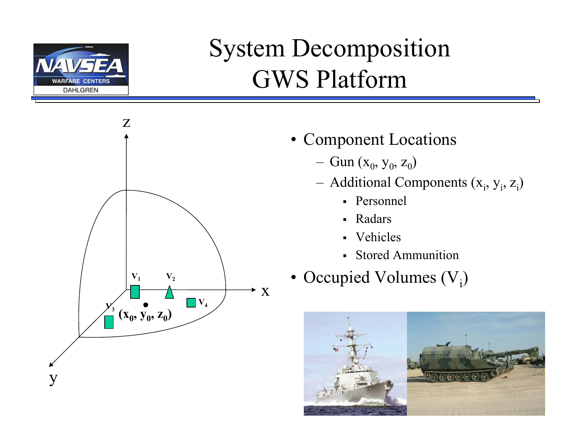

## System Decomposition GWS Platform



- Component Locations
	- Gun  $(x_0, y_0, z_0)$
	- –Additional Components  $(x_i, y_i, z_i)$ 
		- Personnel
		- Radars
		- Vehicles
		- Stored Ammunition
- Occupied Volumes  $(V_i)$

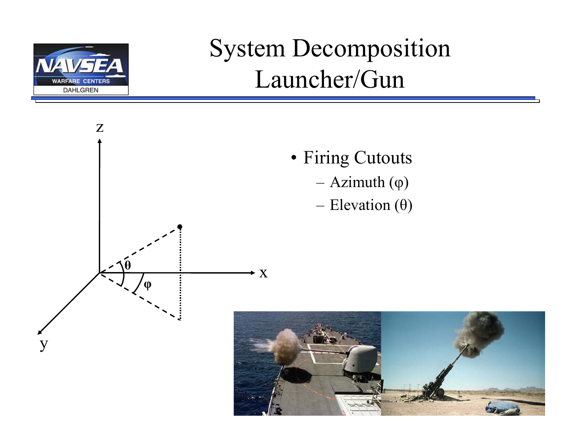

## System Decomposition Launcher/Gun

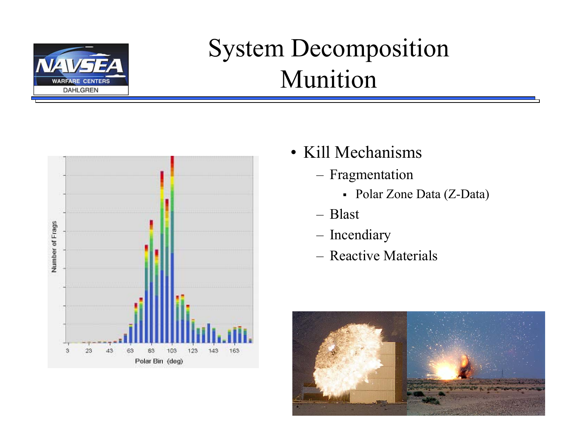

## System Decomposition Munition



- Kill Mechanisms
	- Fragmentation
		- Polar Zone Data (Z-Data)
	- Blast
	- Incendiary
	- Reactive Materials

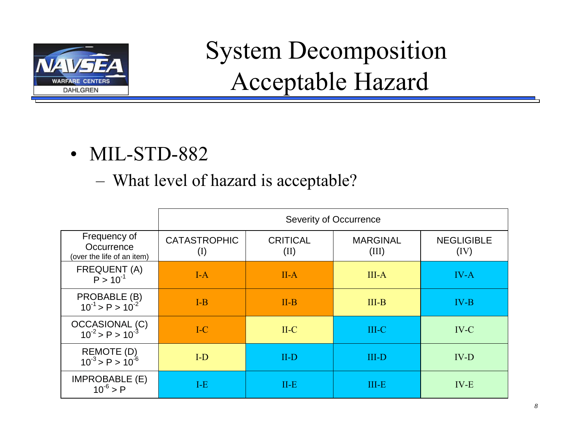

# System Decomposition Acceptable Hazard

- MIL-STD-882
	- –What level of hazard is acceptable?

|                                                          | <b>Severity of Occurrence</b> |                         |                          |                           |
|----------------------------------------------------------|-------------------------------|-------------------------|--------------------------|---------------------------|
| Frequency of<br>Occurrence<br>(over the life of an item) | <b>CATASTROPHIC</b><br>(I)    | <b>CRITICAL</b><br>(II) | <b>MARGINAL</b><br>(III) | <b>NEGLIGIBLE</b><br>(IV) |
| FREQUENT (A)<br>$P > 10^{-1}$                            | $I-A$                         | $II-A$                  | $III-A$                  | $IV-A$                    |
| PROBABLE (B)<br>$10^{-1}$ > P > $10^{-2}$                | $I-B$                         | $II-B$                  | $III-B$                  | $IV-B$                    |
| OCCASIONAL (C)<br>$10^2$ > P > $10^3$                    | $I-C$                         | $II-C$                  | $III-C$                  | IV-C                      |
| REMOTE (D)<br>$10^{-3} > P > 10^{-6}$                    | $I-D$                         | $II-D$                  | <b>III-D</b>             | $IV-D$                    |
| <b>IMPROBABLE (E)</b><br>$10^{-6}$ > P                   | $I-E$                         | $II-E$                  | $III-E$                  | $IV-E$                    |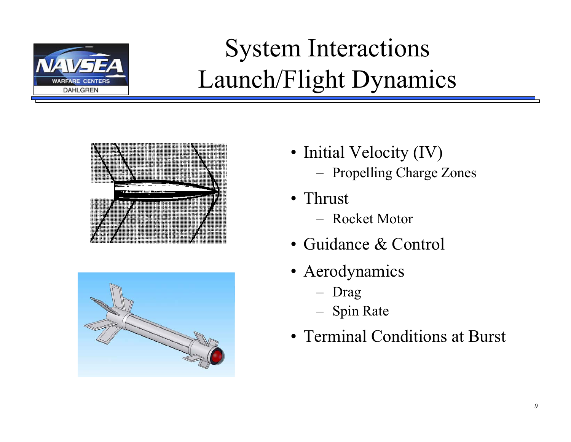

# System Interactions Launch/Flight Dynamics





- Initial Velocity (IV) –Propelling Charge Zones
- Thrust
	- Rocket Motor
- Guidance & Control
- Aerodynamics
	- –Drag
	- Spin Rate
- Terminal Conditions at Burst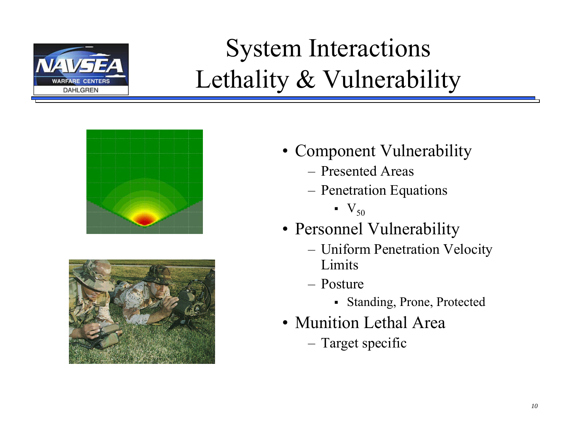

## System Interactions Lethality & Vulnerability





- Component Vulnerability
	- Presented Areas
	- – Penetration Equations
		- $\blacksquare$   $\mathsf{V}_{50}$
- Personnel Vulnerability
	- Uniform Penetration Velocity **Limits**
	- Posture
		- Standing, Prone, Protected
- Munition Lethal Area
	- Target specific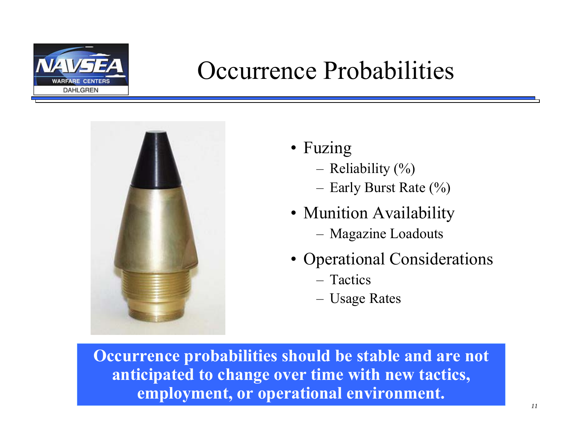

### Occurrence Probabilities



- Fuzing
	- –Reliability (%)
	- Early Burst Rate (%)
- Munition Availability
	- Magazine Loadouts
- Operational Considerations
	- Tactics
	- Usage Rates

**Occurrence probabilities should be stable and are not anticipated to change over time with new tactics, employment, or operational environment.**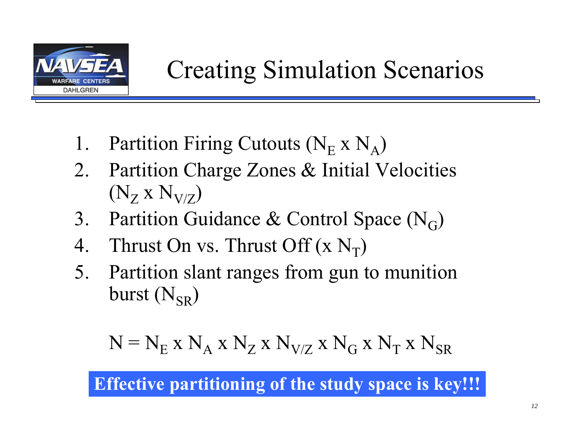

- 1. Partition Firing Cutouts ( $N_E \times N_A$ )
- 2. Partition Charge Zones & Initial Velocities  $\left({\rm N_Z}~{\rm x}~{\rm N_{V/Z}}\right)$
- 3. Partition Guidance & Control Space (N<sub>G</sub>)
- 4. Thrust On vs. Thrust Off  $(\rm{x~N_T})$
- 5. Partition slant ranges from gun to munition burst  $({\rm N_{SR}})$

$$
N\equiv N_E\;x\;N_A\;x\;N_Z\;x\;N_{V/Z}\;x\;N_G\;x\;N_T\;x\;N_{SR}
$$

**Effective partitioning of the study space is key!!!**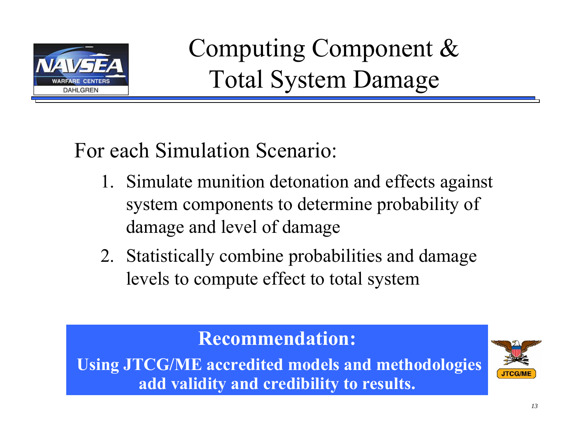

Computing Component & Total System Damage

For each Simulation Scenario:

- 1. Simulate munition detonation and effects against system components to determine probability of damage and level of damage
- 2. Statistically combine probabilities and damage levels to compute effect to total system

#### **Recommendation:**

**Using JTCG/ME accredited models and methodologies add validity and credibility to results.**

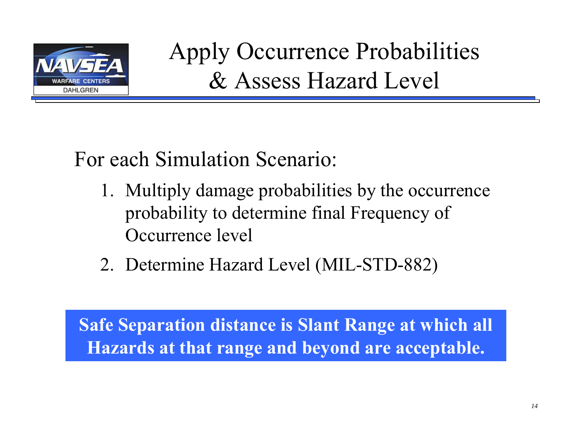

Apply Occurrence Probabilities & Assess Hazard Level

For each Simulation Scenario:

- 1. Multiply damage probabilities by the occurrence probability to determine final Frequency of Occurrence level
- 2. Determine Hazard Level (MIL-STD-882)

**Safe Separation distance is Slant Range at which all Hazards at that range and beyond are acceptable.**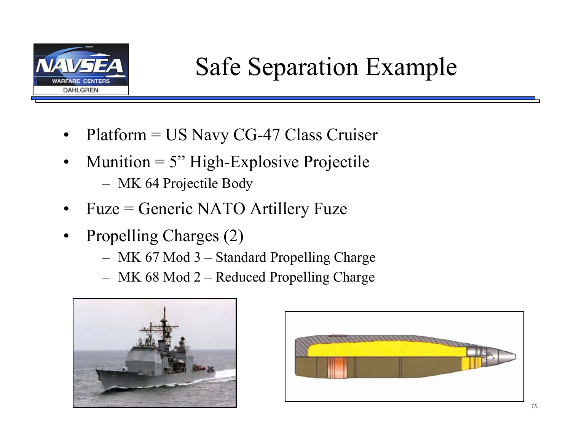

- $\bullet$ Platform = US Navy CG-47 Class Cruiser
- •Munition  $= 5$ " High-Explosive Projectile MK 64 Projectile Body
- •Fuze = Generic NATO Artillery Fuze
- • Propelling Charges (2)
	- MK 67 Mod 3 Standard Propelling Charge
	- MK 68 Mod 2 Reduced Propelling Charge



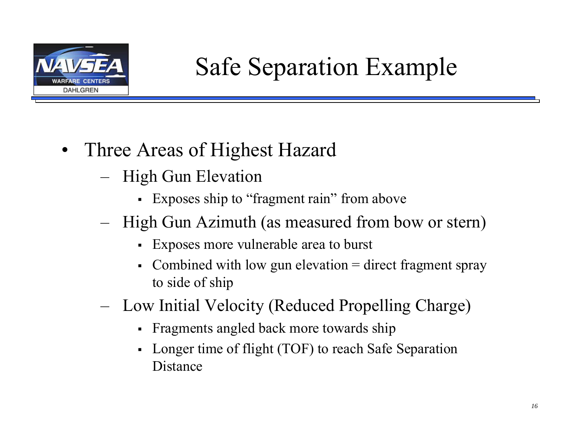

- $\bullet$  Three Areas of Highest Hazard
	- – High Gun Elevation
		- Exposes ship to "fragment rain" from above
	- – High Gun Azimuth (as measured from bow or stern)
		- Exposes more vulnerable area to burst
		- Combined with low gun elevation  $=$  direct fragment spray to side of ship
	- – Low Initial Velocity (Reduced Propelling Charge)
		- Fragments angled back more towards ship
		- Longer time of flight (TOF) to reach Safe Separation Distance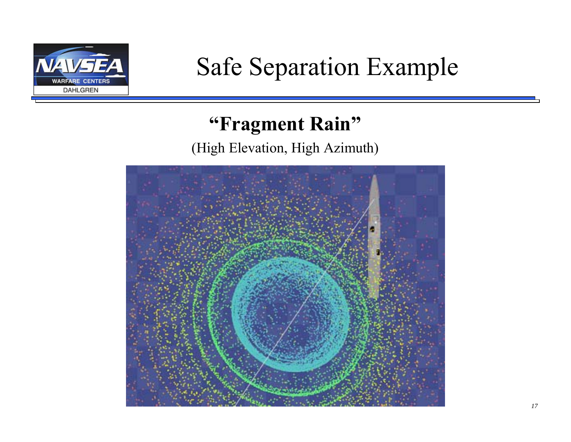

## Safe Separation Example

#### **"Fragment Rain"**

(High Elevation, High Azimuth)

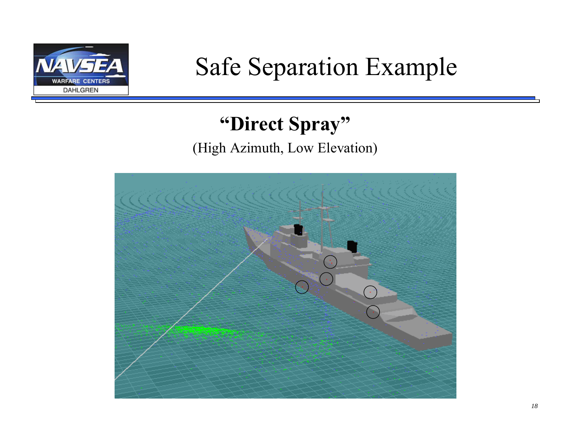

## Safe Separation Example

### **"Direct Spray"**

#### (High Azimuth, Low Elevation)